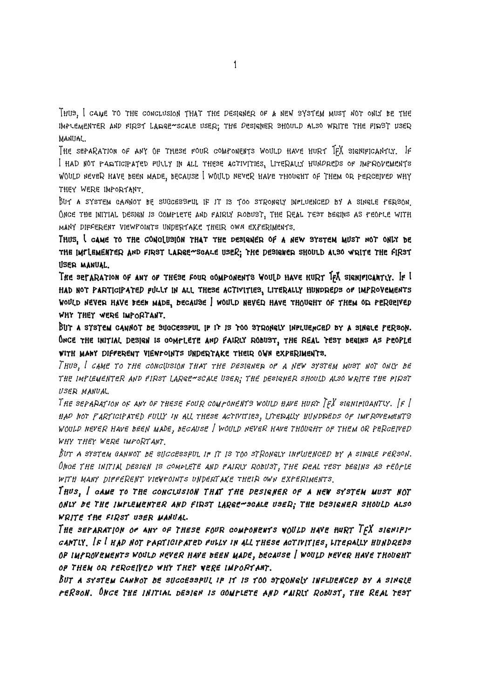Thus, I came to the conclusion that the designer of a new system must not only be the implementer and first large--scale user; the designer should also write the first user manual.

The separation of any of these four components would have hurt TEX significantly. If I had not participated fully in all these activities, literally hundreds of improvements would never have been made, because I would never have thought of them or perceived why they were important.

But a system cannot be successful if it is too strongly influenced by a single person. ONCE THE INITIAL DESIGN IS COMPLETE AND FAIRLY ROBUST. THE REAL TEST BEGINS AS PEOPLE WITH many different viewpoints undertake their own experiments.

**Thus, I came to the conclusion that the designer of a new system must not only be** THE IMPLEMENTER AND FIRST LARGE<sup>ASCALE</sup> USER; THE DESIGNER SHOULD ALSO WRITE THE FIRST **user manual.**

The separation of any of these four components would have hurt IFX significantly. If I **had not participated fully in all these activities, literally hundreds of improvements would never have been made, because I would never have thought of them or perceived why they were important.**

**But a system cannot be successful if it is too strongly influenced by a single person. Once the initial design is complete and fairly robust, the real test begins as people with many different viewpoints undertake their own experiments.**

Thus, I came to the conclusion that the designer of a new system must not only be THE IMPLEMENTER AND FIRST LARGE-SCALE USER; THE DESIGNER SHOULD ALSO WRITE THE PIRST user manual.

The separation of any of these four components would have hurt  $Tr X$  significantly.  $\lfloor f \rfloor$ had not participated fully in all these activities, literally hundreds of improvements would never have been made, because I would never have thought of them or perceived why they were important.

But a system cannot be successful if it is too strongly influenced by a single person. Once the initial design is complete and pairly robust, the real test begins as people with many different viewpoints undertake their own experiments.

**Thus, I came to the conclusion that the designer of a new system must not only be the implementer and first large--scale user; the designer should also write the first user manual.**

The separation of any of these four components would have hurt TFX signifi**cantly. If I had not participated fully in all these activities, literally hundreds of improvements would never have been made, because I would never have thought of them or perceived why they were important.**

**But a system cannot be successful if it is too strongly influenced by a single person. Once the initial design is complete and fairly robust, the real test**